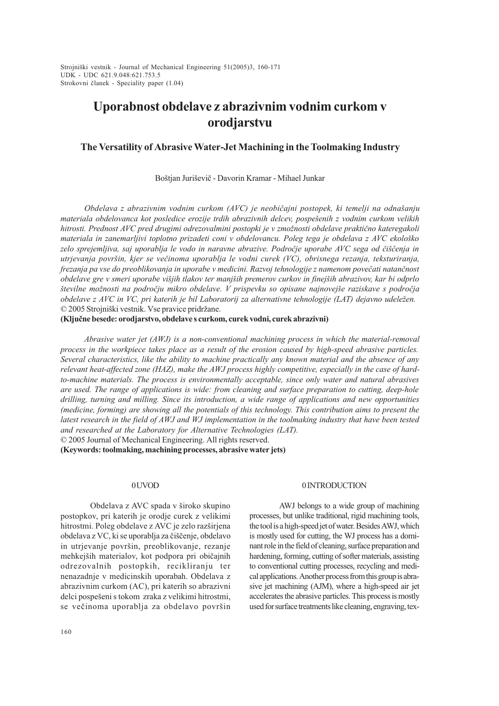UDK - UDC 621.9.048:621.753.5 Strojniški vestnik - Journal of Mechanical Engineering 51(2005)3, 160-171 Strokovni èlanek - Speciality paper (1.04)

# Uporabnost obdelave z abrazivnim vodnim curkom v orodjarstvu

# The Versatility of Abrasive Water-Jet Machining in the Toolmaking Industry

Boštjan Juriševič - Davorin Kramar - Mihael Junkar

Obdelava z abrazivnim vodnim curkom  $(AVC)$  je neobičajni postopek, ki temelji na odnašanju materiala obdelovanca kot posledice erozije trdih abrazivnih delcev, pospešenih z vodnim curkom velikih hitrosti. Prednost AVC pred drugimi odrezovalmini postopki je v zmožnosti obdelave praktično kateregakoli materiala in zanemarljivi toplotno prizadeti coni v obdelovancu. Poleg tega je obdelava z AVC ekološko zelo sprejemljiva, saj uporablja le vodo in naravne abrazive. Področje uporabe AVC sega od čiščenja in utrjevanja površin, kjer se večinoma uporablja le vodni curek (VC), obrisnega rezanja, teksturiranja, frezanja pa vse do preoblikovanja in uporabe v medicini. Razvoj tehnologije z namenom poveèati natanènost obdelave gre v smeri uporabe vijih tlakov ter manjih premerov curkov in finejih abrazivov, kar bi odprlo številne možnosti na področju mikro obdelave. V prispevku so opisane najnovejše raziskave s področja obdelave z AVC in VC, pri katerih je bil Laboratorij za alternativne tehnologije (LAT) dejavno udeležen. © 2005 Strojniški vestnik. Vse pravice pridržane.

(Kljuène besede: orodjarstvo, obdelave s curkom, curek vodni, curek abrazivni)

Abrasive water jet (AWJ) is a non-conventional machining process in which the material-removal process in the workpiece takes place as a result of the erosion caused by high-speed abrasive particles. Several characteristics, like the ability to machine practically any known material and the absence of any relevant heat-affected zone (HAZ), make the AWJ process highly competitive, especially in the case of hardto-machine materials. The process is environmentally acceptable, since only water and natural abrasives are used. The range of applications is wide: from cleaning and surface preparation to cutting, deep-hole drilling, turning and milling. Since its introduction, a wide range of applications and new opportunities (medicine, forming) are showing all the potentials of this technology. This contribution aims to present the latest research in the field of AWJ and WJ implementation in the toolmaking industry that have been tested and researched at the Laboratory for Alternative Technologies (LAT).

© 2005 Journal of Mechanical Engineering. All rights reserved.

(Keywords: toolmaking, machining processes, abrasive water jets)

## 0 UVOD

Obdelava z AVC spada v široko skupino postopkov, pri katerih je orodje curek z velikimi hitrostmi. Poleg obdelave z AVC je zelo razširjena obdelava z VC, ki se uporablja za čiščenje, obdelavo in utrjevanje površin, preoblikovanje, rezanje mehkejših materialov, kot podpora pri običajnih odrezovalnih postopkih, recikliranju ter nenazadnje v medicinskih uporabah. Obdelava z abrazivnim curkom (AC), pri katerih so abrazivni delci pospešeni s tokom zraka z velikimi hitrostmi, se večinoma uporablja za obdelavo površin

#### 0 INTRODUCTION

AWJ belongs to a wide group of machining processes, but unlike traditional, rigid machining tools, the tool is a high-speed jet of water. Besides AWJ, which is mostly used for cutting, the WJ process has a dominant role in the field of cleaning, surface preparation and hardening, forming, cutting of softer materials, assisting to conventional cutting processes, recycling and medical applications. Another process from this group is abrasive jet machining (AJM), where a high-speed air jet accelerates the abrasive particles. This process is mostly used for surface treatments like cleaning, engraving, tex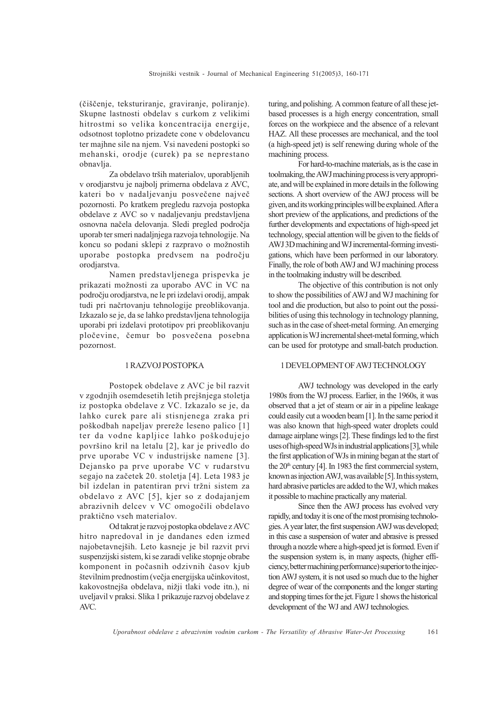(èièenje, teksturiranje, graviranje, poliranje). Skupne lastnosti obdelav s curkom z velikimi hitrostmi so velika koncentracija energije, odsotnost toplotno prizadete cone v obdelovancu ter majhne sile na njem. Vsi navedeni postopki so mehanski, orodje (curek) pa se neprestano obnavlja.

Za obdelavo trših materialov, uporabljenih v orodjarstvu je najbolj primerna obdelava z AVC, kateri bo v nadaljevanju posvečene največ pozornosti. Po kratkem pregledu razvoja postopka obdelave z AVC so v nadaljevanju predstavljena osnovna naèela delovanja. Sledi pregled podroèja uporab ter smeri nadaljnjega razvoja tehnologije. Na koncu so podani sklepi z razpravo o možnostih uporabe postopka predvsem na podroèju orodjarstva.

Namen predstavljenega prispevka je prikazati možnosti za uporabo AVC in VC na podroèju orodjarstva, ne le pri izdelavi orodij, ampak tudi pri naèrtovanju tehnologije preoblikovanja. Izkazalo se je, da se lahko predstavljena tehnologija uporabi pri izdelavi prototipov pri preoblikovanju ploèevine, èemur bo posveèena posebna pozornost.

## 1 RAZVOJ POSTOPKA

Postopek obdelave z AVC je bil razvit v zgodnjih osemdesetih letih prejšnjega stoletja iz postopka obdelave z VC. Izkazalo se je, da lahko curek pare ali stisnjenega zraka pri poškodbah napeljav prereže leseno palico [1] ter da vodne kapljice lahko poškodujejo površino kril na letalu [2], kar je privedlo do prve uporabe VC v industrijske namene [3]. Dejansko pa prve uporabe VC v rudarstvu segajo na zaèetek 20. stoletja [4]. Leta 1983 je bil izdelan in patentiran prvi tržni sistem za obdelavo z AVC [5], kjer so z dodajanjem abrazivnih delcev v VC omogoèili obdelavo praktièno vseh materialov.

Od takrat je razvoj postopka obdelave z AVC hitro napredoval in je dandanes eden izmed najobetavnejših. Leto kasneje je bil razvit prvi suspenzijski sistem, ki se zaradi velike stopnje obrabe komponent in poèasnih odzivnih èasov kjub številnim prednostim (večja energijska učinkovitost, kakovostnejša obdelava, nižji tlaki vode itn.), ni uveljavil v praksi. Slika 1 prikazuje razvoj obdelave z AVC.

turing, and polishing. A common feature of all these jetbased processes is a high energy concentration, small forces on the workpiece and the absence of a relevant HAZ. All these processes are mechanical, and the tool (a high-speed jet) is self renewing during whole of the machining process.

For hard-to-machine materials, as is the case in toolmaking, the AWJ machining process is very appropriate, and will be explained in more details in the following sections. A short overview of the AWJ process will be given, and its working principles will be explained. After a short preview of the applications, and predictions of the further developments and expectations of high-speed jet technology, special attention will be given to the fields of AWJ 3D machining and WJ incremental-forming investigations, which have been performed in our laboratory. Finally, the role of both AWJ and WJ machining process in the toolmaking industry will be described.

The objective of this contribution is not only to show the possibilities of AWJ and WJ machining for tool and die production, but also to point out the possibilities of using this technology in technology planning, such as in the case of sheet-metal forming. An emerging application is WJ incremental sheet-metal forming, which can be used for prototype and small-batch production.

### 1 DEVELOPMENT OF AWJ TECHNOLOGY

AWJ technology was developed in the early 1980s from the WJ process. Earlier, in the 1960s, it was observed that a jet of steam or air in a pipeline leakage could easily cut a wooden beam [1]. In the same period it was also known that high-speed water droplets could damage airplane wings [2]. These findings led to the first uses of high-speed WJs in industrial applications [3], while the first application of WJs in mining began at the start of the  $20<sup>th</sup>$  century [4]. In 1983 the first commercial system, known as injection AWJ, was available [5]. In this system, hard abrasive particles are added to the WJ, which makes it possible to machine practically any material.

Since then the AWJ process has evolved very rapidly, and today it is one of the most promising technologies. A year later, the first suspension AWJ was developed; in this case a suspension of water and abrasive is pressed through a nozzle where a high-speed jet is formed. Even if the suspension system is, in many aspects, (higher efficiency, better machining performance) superior to the injection AWJ system, it is not used so much due to the higher degree of wear of the components and the longer starting and stopping times for the jet. Figure 1 shows the historical development of the WJ and AWJ technologies.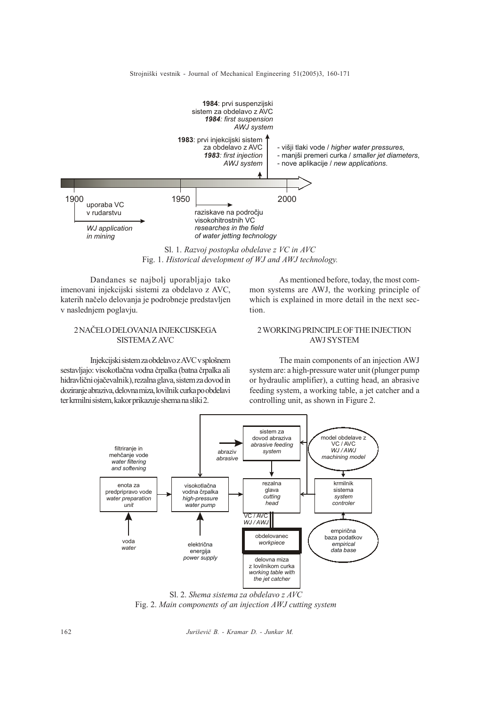

Sl. 1. Razvoj postopka obdelave z VC in AVC Fig. 1. Historical development of WJ and AWJ technology.

Dandanes se najbolj uporabljajo tako imenovani injekcijski sistemi za obdelavo z AVC, katerih naèelo delovanja je podrobneje predstavljen v naslednjem poglavju.

# 2 NAÈELO DELOVANJA INJEKCIJSKEGA SISTEMA Z AVC

Injekcijski sistem za obdelavo z AVC v splošnem sestavljajo: visokotlaèna vodna èrpalka (batna èrpalka ali hidravlièni ojaèevalnik), rezalna glava, sistem za dovod in doziranje abraziva, delovna miza, lovilnik curka po obdelavi ter krmilni sistem, kakor prikazuje shema na sliki 2.

As mentioned before, today, the most common systems are AWJ, the working principle of which is explained in more detail in the next section.

# 2 WORKING PRINCIPLE OF THE INJECTION AWJ SYSTEM

The main components of an injection AWJ system are: a high-pressure water unit (plunger pump or hydraulic amplifier), a cutting head, an abrasive feeding system, a working table, a jet catcher and a controlling unit, as shown in Figure 2.



Sl. 2. Shema sistema za obdelavo z AVC Fig. 2. Main components of an injection AWJ cutting system

162 Juriševič B. - Kramar D. - Junkar M.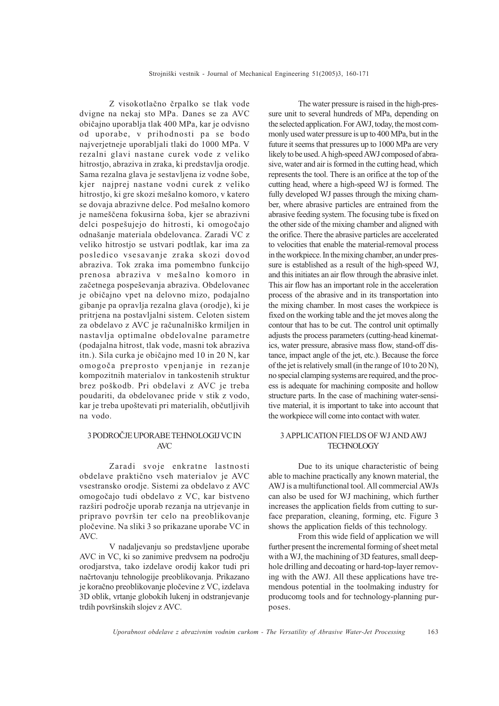Z visokotlaèno èrpalko se tlak vode dvigne na nekaj sto MPa. Danes se za AVC obièajno uporablja tlak 400 MPa, kar je odvisno od uporabe, v prihodnosti pa se bodo najverjetneje uporabljali tlaki do 1000 MPa. V rezalni glavi nastane curek vode z veliko hitrostjo, abraziva in zraka, ki predstavlja orodje. Sama rezalna glava je sestavljena iz vodne šobe, kjer najprej nastane vodni curek z veliko hitrostjo, ki gre skozi mešalno komoro, v katero se dovaja abrazivne delce. Pod mešalno komoro je nameščena fokusirna šoba, kjer se abrazivni delci pospešujejo do hitrosti, ki omogočajo odnašanje materiala obdelovanca. Zaradi VC z veliko hitrostjo se ustvari podtlak, kar ima za posledico vsesavanje zraka skozi dovod abraziva. Tok zraka ima pomembno funkcijo prenosa abraziva v mešalno komoro in začetnega pospeševanja abraziva. Obdelovanec je običajno vpet na delovno mizo, podajalno gibanje pa opravlja rezalna glava (orodje), ki je pritrjena na postavljalni sistem. Celoten sistem za obdelavo z AVC je računalniško krmiljen in nastavlja optimalne obdelovalne parametre (podajalna hitrost, tlak vode, masni tok abraziva itn.). Sila curka je običajno med 10 in 20 N, kar omogoèa preprosto vpenjanje in rezanje kompozitnih materialov in tankostenih struktur brez pokodb. Pri obdelavi z AVC je treba poudariti, da obdelovanec pride v stik z vodo, kar je treba upoštevati pri materialih, občutljivih na vodo.

# 3 PODROÈJE UPORABE TEHNOLOGIJ VC IN AVC

Zaradi svoje enkratne lastnosti obdelave praktièno vseh materialov je AVC vsestransko orodje. Sistemi za obdelavo z AVC omogoèajo tudi obdelavo z VC, kar bistveno razširi področje uporab rezanja na utrjevanje in pripravo površin ter celo na preoblikovanje ploèevine. Na sliki 3 so prikazane uporabe VC in AVC.

V nadaljevanju so predstavljene uporabe AVC in VC, ki so zanimive predvsem na podroèju orodjarstva, tako izdelave orodij kakor tudi pri naèrtovanju tehnologije preoblikovanja. Prikazano je koraèno preoblikovanje ploèevine z VC, izdelava 3D oblik, vrtanje globokih lukenj in odstranjevanje trdih površinskih slojev z AVC.

The water pressure is raised in the high-pressure unit to several hundreds of MPa, depending on the selected application. For AWJ, today, the most commonly used water pressure is up to 400 MPa, but in the future it seems that pressures up to 1000 MPa are very likely to be used. A high-speed AWJ composed of abrasive, water and air is formed in the cutting head, which represents the tool. There is an orifice at the top of the cutting head, where a high-speed WJ is formed. The fully developed WJ passes through the mixing chamber, where abrasive particles are entrained from the abrasive feeding system. The focusing tube is fixed on the other side of the mixing chamber and aligned with the orifice. There the abrasive particles are accelerated to velocities that enable the material-removal process in the workpiece. In the mixing chamber, an under pressure is established as a result of the high-speed WJ, and this initiates an air flow through the abrasive inlet. This air flow has an important role in the acceleration process of the abrasive and in its transportation into the mixing chamber. In most cases the workpiece is fixed on the working table and the jet moves along the contour that has to be cut. The control unit optimally adjusts the process parameters (cutting-head kinematics, water pressure, abrasive mass flow, stand-off distance, impact angle of the jet, etc.). Because the force of the jet is relatively small (in the range of 10 to 20 N), no special clamping systems are required, and the process is adequate for machining composite and hollow structure parts. In the case of machining water-sensitive material, it is important to take into account that the workpiece will come into contact with water.

## 3 APPLICATION FIELDS OF WJ AND AWJ **TECHNOLOGY**

Due to its unique characteristic of being able to machine practically any known material, the AWJ is a multifunctional tool. All commercial AWJs can also be used for WJ machining, which further increases the application fields from cutting to surface preparation, cleaning, forming, etc. Figure 3 shows the application fields of this technology.

From this wide field of application we will further present the incremental forming of sheet metal with a WJ, the machining of 3D features, small deephole drilling and decoating or hard-top-layer removing with the AWJ. All these applications have tremendous potential in the toolmaking industry for producomg tools and for technology-planning purposes.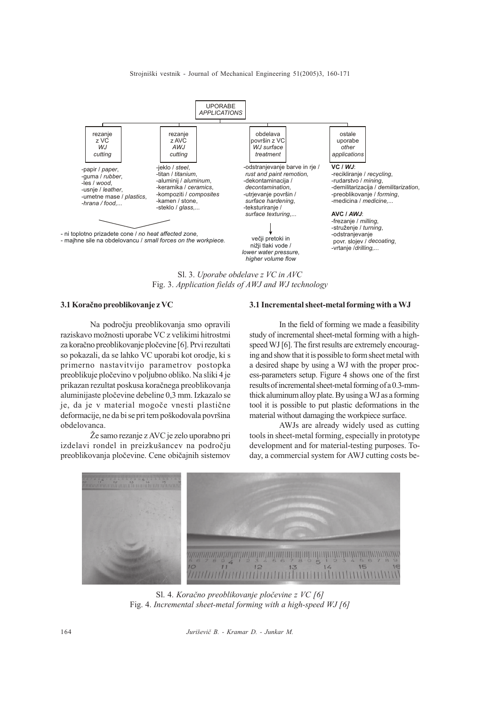#### Strojniški vestnik - Journal of Mechanical Engineering 51(2005)3, 160-171



Sl. 3. Uporabe obdelave z VC in AVC Fig. 3. Application fields of AWJ and WJ technology

#### 3.1 Koraèno preoblikovanje z VC

Na podroèju preoblikovanja smo opravili raziskavo možnosti uporabe VC z velikimi hitrostmi za koraèno preoblikovanje ploèevine [6]. Prvi rezultati so pokazali, da se lahko VC uporabi kot orodje, ki s primerno nastavitvijo parametrov postopka preoblikuje ploèevino v poljubno obliko. Na sliki 4 je prikazan rezultat poskusa koraènega preoblikovanja aluminijaste ploèevine debeline 0,3 mm. Izkazalo se je, da je v material mogoče vnesti plastične deformacije, ne da bi se pri tem poškodovala površina obdelovanca.

Že samo rezanje z AVC je zelo uporabno pri izdelavi rondel in preizkušancev na področju preoblikovanja ploèevine. Cene obièajnih sistemov

#### 3.1 Incremental sheet-metal forming with a WJ

In the field of forming we made a feasibility study of incremental sheet-metal forming with a highspeed WJ [6]. The first results are extremely encouraging and show that it is possible to form sheet metal with a desired shape by using a WJ with the proper process-parameters setup. Figure 4 shows one of the first results of incremental sheet-metal forming of a 0.3-mmthick aluminum alloy plate. By using a WJ as a forming tool it is possible to put plastic deformations in the material without damaging the workpiece surface.

AWJs are already widely used as cutting tools in sheet-metal forming, especially in prototype development and for material-testing purposes. Today, a commercial system for AWJ cutting costs be-



Sl. 4. Koračno preoblikovanje pločevine z VC [6] Fig. 4. Incremental sheet-metal forming with a high-speed WJ [6]

164 Juriševič B. - Kramar D. - Junkar M.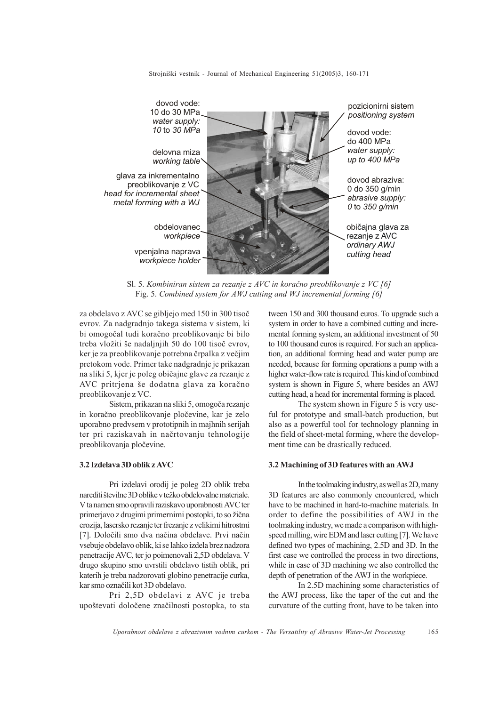Strojniški vestnik - Journal of Mechanical Engineering 51(2005)3, 160-171



Sl. 5. Kombiniran sistem za rezanje z AVC in koraèno preoblikovanje z VC [6] Fig. 5. Combined system for AWJ cutting and WJ incremental forming [6]

za obdelavo z AVC se gibljejo med 150 in 300 tisoè evrov. Za nadgradnjo takega sistema v sistem, ki bi omogoèal tudi koraèno preoblikovanje bi bilo treba vložiti še nadaljnjih 50 do 100 tisoč evrov, ker je za preoblikovanje potrebna èrpalka z veèjim pretokom vode. Primer take nadgradnje je prikazan na sliki 5, kjer je poleg obièajne glave za rezanje z AVC pritriena še dodatna glava za koračno preoblikovanje z VC.

Sistem, prikazan na sliki 5, omogoèa rezanje in koraèno preoblikovanje ploèevine, kar je zelo uporabno predvsem v prototipnih in majhnih serijah ter pri raziskavah in naèrtovanju tehnologije preoblikovanja ploèevine.

## 3.2 Izdelava 3D oblik z AVC

Pri izdelavi orodij je poleg 2D oblik treba narediti številne 3D oblike v težko obdelovalne materiale. V ta namen smo opravili raziskavo uporabnosti AVC ter primerjavo z drugimi primernimi postopki, to so žična erozija, lasersko rezanje ter frezanje z velikimi hitrostmi [7]. Doloèili smo dva naèina obdelave. Prvi naèin vsebuje obdelavo oblik, ki se lahko izdela brez nadzora penetracije AVC, ter jo poimenovali 2,5D obdelava. V drugo skupino smo uvrstili obdelavo tistih oblik, pri katerih je treba nadzorovati globino penetracije curka, kar smo oznaèili kot 3D obdelavo.

Pri 2,5D obdelavi z AVC je treba upotevati doloèene znaèilnosti postopka, to sta tween 150 and 300 thousand euros. To upgrade such a system in order to have a combined cutting and incremental forming system, an additional investment of 50 to 100 thousand euros is required. For such an application, an additional forming head and water pump are needed, because for forming operations a pump with a higher water-flow rate is required. This kind of combined system is shown in Figure 5, where besides an AWJ cutting head, a head for incremental forming is placed.

The system shown in Figure 5 is very useful for prototype and small-batch production, but also as a powerful tool for technology planning in the field of sheet-metal forming, where the development time can be drastically reduced.

## 3.2 Machining of 3D features with an AWJ

In the toolmaking industry, as well as 2D, many 3D features are also commonly encountered, which have to be machined in hard-to-machine materials. In order to define the possibilities of AWJ in the toolmaking industry, we made a comparison with highspeed milling, wire EDM and laser cutting [7]. We have defined two types of machining, 2.5D and 3D. In the first case we controlled the process in two directions, while in case of 3D machining we also controlled the depth of penetration of the AWJ in the workpiece.

In 2.5D machining some characteristics of the AWJ process, like the taper of the cut and the curvature of the cutting front, have to be taken into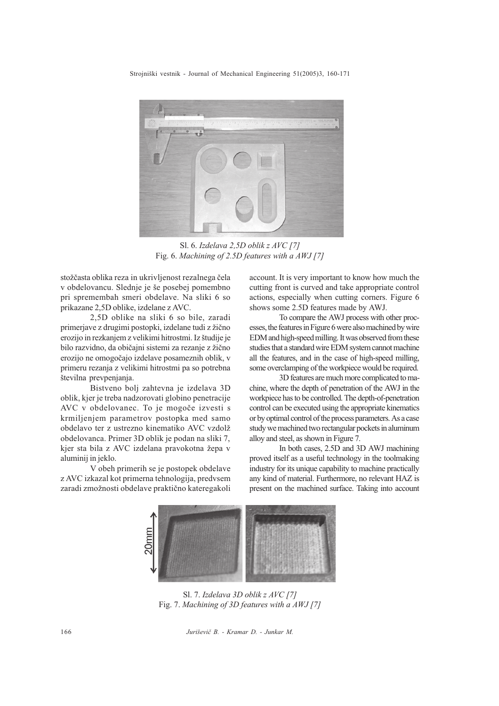Strojniški vestnik - Journal of Mechanical Engineering 51(2005)3, 160-171



Sl. 6. Izdelava 2,5D oblik z AVC [7] Fig. 6. Machining of 2.5D features with a AWJ [7]

stožčasta oblika reza in ukrivljenost rezalnega čela v obdelovancu. Slednje je še posebej pomembno pri spremembah smeri obdelave. Na sliki 6 so prikazane 2,5D oblike, izdelane z AVC.

2,5D oblike na sliki 6 so bile, zaradi primerjave z drugimi postopki, izdelane tudi z žično erozijo in rezkanjem z velikimi hitrostmi. Iz študije je bilo razvidno, da običajni sistemi za rezanje z žično erozijo ne omogoèajo izdelave posameznih oblik, v primeru rezanja z velikimi hitrostmi pa so potrebna številna prevpenjanja.

Bistveno bolj zahtevna je izdelava 3D oblik, kjer je treba nadzorovati globino penetracije AVC v obdelovanec. To je mogoče izvesti s krmiljenjem parametrov postopka med samo obdelavo ter z ustrezno kinematiko AVC vzdol obdelovanca. Primer 3D oblik je podan na sliki 7, kjer sta bila z AVC izdelana pravokotna žepa v aluminij in jeklo.

V obeh primerih se je postopek obdelave z AVC izkazal kot primerna tehnologija, predvsem zaradi zmožnosti obdelave praktično kateregakoli account. It is very important to know how much the cutting front is curved and take appropriate control actions, especially when cutting corners. Figure 6 shows some 2.5D features made by AWJ.

To compare the AWJ process with other processes, the features in Figure 6 were also machined by wire EDM and high-speed milling. It was observed from these studies that a standard wire EDM system cannot machine all the features, and in the case of high-speed milling, some overclamping of the workpiece would be required.

3D features are much more complicated to machine, where the depth of penetration of the AWJ in the workpiece has to be controlled. The depth-of-penetration control can be executed using the appropriate kinematics or by optimal control of the process parameters. As a case study we machined two rectangular pockets in aluminum alloy and steel, as shown in Figure 7.

In both cases, 2.5D and 3D AWJ machining proved itself as a useful technology in the toolmaking industry for its unique capability to machine practically any kind of material. Furthermore, no relevant HAZ is present on the machined surface. Taking into account



Sl. 7. Izdelava 3D oblik z AVC [7] Fig. 7. Machining of 3D features with a AWJ [7]

166 Juriševič B. - Kramar D. - Junkar M.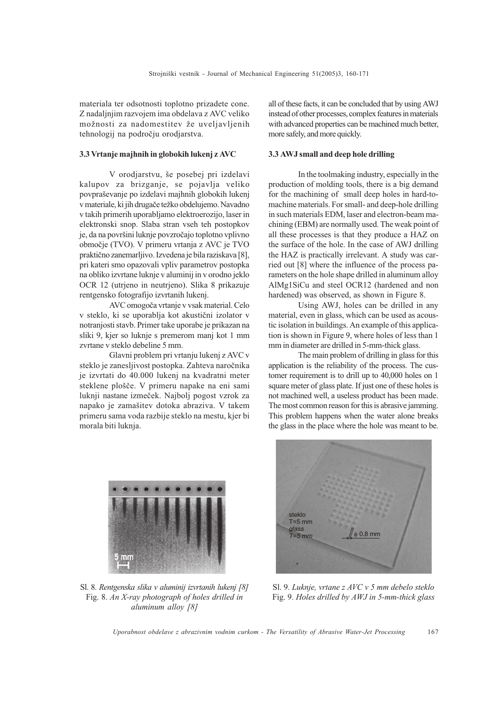materiala ter odsotnosti toplotno prizadete cone. Z nadaljnjim razvojem ima obdelava z AVC veliko možnosti za nadomestitev že uveljavljenih tehnologij na podroèju orodjarstva.

#### 3.3 Vrtanje majhnih in globokih lukenj z AVC

V orodjarstvu, še posebej pri izdelavi kalupov za brizganje, se pojavlja veliko povpraševanje po izdelavi majhnih globokih lukenj v materiale, ki jih drugače težko obdelujemo. Navadno v takih primerih uporabljamo elektroerozijo, laser in elektronski snop. Slaba stran vseh teh postopkov je, da na površini luknje povzročajo toplotno vplivno obmoèje (TVO). V primeru vrtanja z AVC je TVO praktièno zanemarljivo. Izvedena je bila raziskava [8], pri kateri smo opazovali vpliv parametrov postopka na obliko izvrtane luknje v aluminij in v orodno jeklo OCR 12 (utrjeno in neutrjeno). Slika 8 prikazuje rentgensko fotografijo izvrtanih lukenj.

AVC omogoèa vrtanje v vsak material. Celo v steklo, ki se uporablja kot akustièni izolator v notranjosti stavb. Primer take uporabe je prikazan na sliki 9, kjer so luknje s premerom manj kot 1 mm zvrtane v steklo debeline 5 mm.

Glavni problem pri vrtanju lukenj z AVC v steklo je zanesljivost postopka. Zahteva naroènika je izvrtati do 40.000 lukenj na kvadratni meter steklene plošče. V primeru napake na eni sami luknji nastane izmeèek. Najbolj pogost vzrok za napako je zamašitev dotoka abraziva. V takem primeru sama voda razbije steklo na mestu, kjer bi morala biti luknja.

all of these facts, it can be concluded that by using AWJ instead of other processes, complex features in materials with advanced properties can be machined much better, more safely, and more quickly.

### 3.3 AWJ small and deep hole drilling

In the toolmaking industry, especially in the production of molding tools, there is a big demand for the machining of small deep holes in hard-tomachine materials. For small- and deep-hole drilling in such materials EDM, laser and electron-beam machining (EBM) are normally used. The weak point of all these processes is that they produce a HAZ on the surface of the hole. In the case of AWJ drilling the HAZ is practically irrelevant. A study was carried out [8] where the influence of the process parameters on the hole shape drilled in aluminum alloy AlMg1SiCu and steel OCR12 (hardened and non hardened) was observed, as shown in Figure 8.

Using AWJ, holes can be drilled in any material, even in glass, which can be used as acoustic isolation in buildings. An example of this application is shown in Figure 9, where holes of less than 1 mm in diameter are drilled in 5-mm-thick glass.

The main problem of drilling in glass for this application is the reliability of the process. The customer requirement is to drill up to 40,000 holes on 1 square meter of glass plate. If just one of these holes is not machined well, a useless product has been made. The most common reason for this is abrasive jamming. This problem happens when the water alone breaks the glass in the place where the hole was meant to be.



Sl. 8. Rentgenska slika v aluminij izvrtanih lukenj [8] Fig. 8. An X-ray photograph of holes drilled in aluminum alloy [8]



Sl. 9. Luknje, vrtane z AVC v 5 mm debelo steklo Fig. 9. Holes drilled by AWJ in 5-mm-thick glass

Uporabnost obdelave z abrazivnim vodnim curkom - The Versatility of Abrasive Water-Jet Processing 167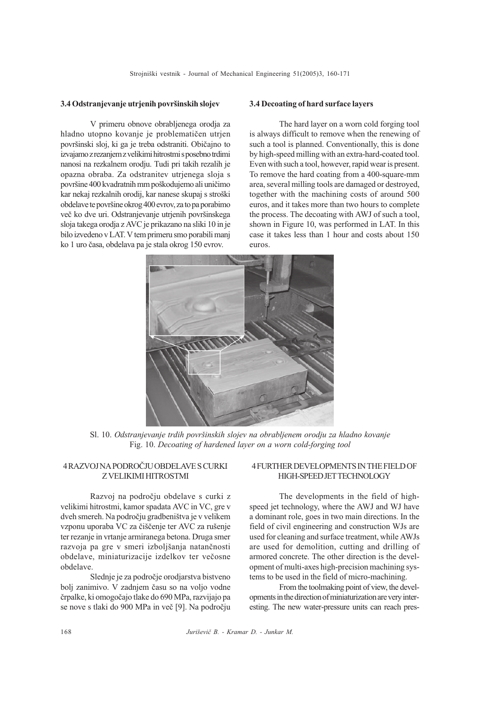#### 3.4 Odstranjevanje utrjenih površinskih slojev

V primeru obnove obrabljenega orodja za hladno utopno kovanje je problematičen utrjen povrinski sloj, ki ga je treba odstraniti. Obièajno to izvajamo z rezanjem z velikimi hitrostmi s posebno trdimi nanosi na rezkalnem orodju. Tudi pri takih rezalih je opazna obraba. Za odstranitev utrjenega sloja s površine 400 kvadratnih mm poškodujemo ali uničimo kar nekaj rezkalnih orodij, kar nanese skupaj s stroški obdelave te povrine okrog 400 evrov, za to pa porabimo več ko dve uri. Odstranjevanje utrjenih površinskega sloja takega orodja z AVC je prikazano na sliki 10 in je bilo izvedeno v LAT. V tem primeru smo porabili manj ko 1 uro èasa, obdelava pa je stala okrog 150 evrov.

### 3.4 Decoating of hard surface layers

The hard layer on a worn cold forging tool is always difficult to remove when the renewing of such a tool is planned. Conventionally, this is done by high-speed milling with an extra-hard-coated tool. Even with such a tool, however, rapid wear is present. To remove the hard coating from a 400-square-mm area, several milling tools are damaged or destroyed, together with the machining costs of around 500 euros, and it takes more than two hours to complete the process. The decoating with AWJ of such a tool, shown in Figure 10, was performed in LAT. In this case it takes less than 1 hour and costs about 150 euros.



Sl. 10. Odstranjevanje trdih površinskih slojev na obrabljenem orodju za hladno kovanje Fig. 10. Decoating of hardened layer on a worn cold-forging tool

# 4 RAZVOJ NA PODROÈJU OBDELAVE S CURKI Z VELIKIMI HITROSTMI

Razvoj na podroèju obdelave s curki z velikimi hitrostmi, kamor spadata AVC in VC, gre v dveh smereh. Na področju gradbeništva je v velikem vzponu uporaba VC za čiščenje ter AVC za rušenje ter rezanje in vrtanje armiranega betona. Druga smer razvoja pa gre v smeri izboljšanja natančnosti obdelave, miniaturizacije izdelkov ter veèosne obdelave.

Slednje je za podroèje orodjarstva bistveno bolj zanimivo. V zadnjem èasu so na voljo vodne èrpalke, ki omogoèajo tlake do 690 MPa, razvijajo pa se nove s tlaki do 900 MPa in veè [9]. Na podroèju

## 4 FURTHER DEVELOPMENTS IN THE FIELD OF HIGH-SPEED JET TECHNOLOGY

The developments in the field of highspeed jet technology, where the AWJ and WJ have a dominant role, goes in two main directions. In the field of civil engineering and construction WJs are used for cleaning and surface treatment, while AWJs are used for demolition, cutting and drilling of armored concrete. The other direction is the development of multi-axes high-precision machining systems to be used in the field of micro-machining.

From the toolmaking point of view, the developments in the direction of miniaturization are very interesting. The new water-pressure units can reach pres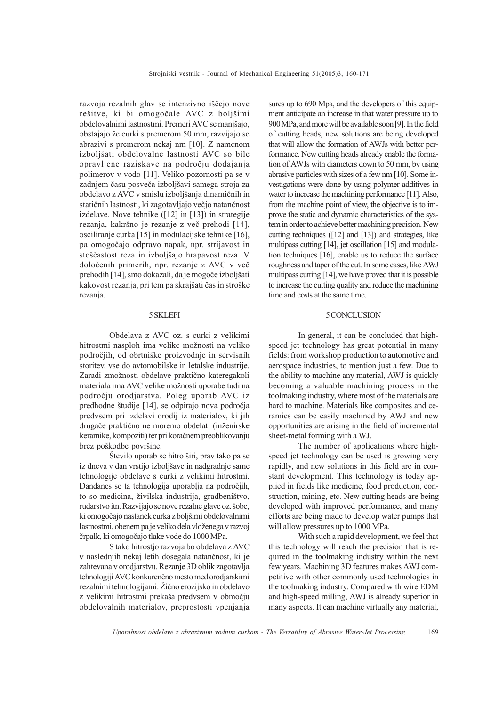razvoja rezalnih glav se intenzivno iščejo nove rešitve, ki bi omogočale AVC z boljšimi obdelovalnimi lastnostmi. Premeri AVC se manjajo, obstajajo že curki s premerom 50 mm, razvijajo se abrazivi s premerom nekaj nm [10]. Z namenom izboljšati obdelovalne lastnosti AVC so bile opravljene raziskave na podroèju dodajanja polimerov v vodo [11]. Veliko pozornosti pa se v zadnjem času posveča izboljšavi samega stroja za obdelavo z AVC v smislu izboljšanja dinamičnih in statičnih lastnosti, ki zagotavljajo večjo natančnost izdelave. Nove tehnike ([12] in [13]) in strategije rezanja, kakršno je rezanje z več prehodi [14], osciliranje curka [15] in modulacijske tehnike [16], pa omogoèajo odpravo napak, npr. strijavost in stoščastost reza in izboljšajo hrapavost reza. V doloèenih primerih, npr. rezanje z AVC v veè prehodih [14], smo dokazali, da je mogoče izboljšati kakovost rezanja, pri tem pa skrajšati čas in stroške rezanja.

### 5 SKLEPI

Obdelava z AVC oz. s curki z velikimi hitrostmi nasploh ima velike možnosti na veliko podroèjih, od obrtnike proizvodnje in servisnih storitev, vse do avtomobilske in letalske industrije. Zaradi zmožnosti obdelave praktično kateregakoli materiala ima AVC velike možnosti uporabe tudi na podroèju orodjarstva. Poleg uporab AVC iz predhodne študije [14], se odpirajo nova področja predvsem pri izdelavi orodij iz materialov, ki jih drugače praktično ne moremo obdelati (inženirske keramike, kompoziti) ter pri koraènem preoblikovanju brez poškodbe površine.

Število uporab se hitro širi, prav tako pa se iz dneva v dan vrstijo izboljšave in nadgradnje same tehnologije obdelave s curki z velikimi hitrostmi. Dandanes se ta tehnologija uporablja na podroèjih, to so medicina, živilska industrija, gradbeništvo, rudarstvo itn. Razvijajo se nove rezalne glave oz. šobe, ki omogočajo nastanek curka z boljšimi obdelovalnimi lastnostmi, obenem pa je veliko dela vloženega v razvoj èrpalk, ki omogoèajo tlake vode do 1000 MPa.

S tako hitrostjo razvoja bo obdelava z AVC v naslednjih nekaj letih dosegala natanènost, ki je zahtevana v orodjarstvu. Rezanje 3D oblik zagotavlja tehnologiji AVC konkurenčno mesto med orodjarskimi rezalnimi tehnologijami. Žično erozijsko in obdelavo z velikimi hitrostmi prekaša predvsem v območju obdelovalnih materialov, preprostosti vpenjanja sures up to 690 Mpa, and the developers of this equipment anticipate an increase in that water pressure up to 900 MPa, and more will be available soon [9]. In the field of cutting heads, new solutions are being developed that will allow the formation of AWJs with better performance. New cutting heads already enable the formation of AWJs with diameters down to 50 mm, by using abrasive particles with sizes of a few nm [10]. Some investigations were done by using polymer additives in water to increase the machining performance [11]. Also, from the machine point of view, the objective is to improve the static and dynamic characteristics of the system in order to achieve better machining precision. New cutting techniques ([12] and [13]) and strategies, like multipass cutting [14], jet oscillation [15] and modulation techniques [16], enable us to reduce the surface roughness and taper of the cut. In some cases, like AWJ multipass cutting [14], we have proved that it is possible to increase the cutting quality and reduce the machining time and costs at the same time.

## 5 CONCLUSION

In general, it can be concluded that highspeed jet technology has great potential in many fields: from workshop production to automotive and aerospace industries, to mention just a few. Due to the ability to machine any material, AWJ is quickly becoming a valuable machining process in the toolmaking industry, where most of the materials are hard to machine. Materials like composites and ceramics can be easily machined by AWJ and new opportunities are arising in the field of incremental sheet-metal forming with a WJ.

The number of applications where highspeed jet technology can be used is growing very rapidly, and new solutions in this field are in constant development. This technology is today applied in fields like medicine, food production, construction, mining, etc. New cutting heads are being developed with improved performance, and many efforts are being made to develop water pumps that will allow pressures up to 1000 MPa.

With such a rapid development, we feel that this technology will reach the precision that is required in the toolmaking industry within the next few years. Machining 3D features makes AWJ competitive with other commonly used technologies in the toolmaking industry. Compared with wire EDM and high-speed milling, AWJ is already superior in many aspects. It can machine virtually any material,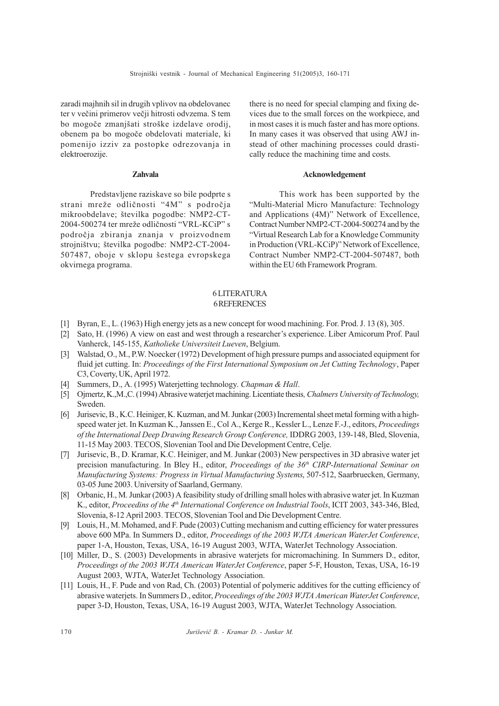zaradi majhnih sil in drugih vplivov na obdelovanec ter v večini primerov večji hitrosti odvzema. S tem bo mogoče zmanjšati stroške izdelave orodij, obenem pa bo mogoèe obdelovati materiale, ki pomenijo izziv za postopke odrezovanja in elektroerozije.

# Zahvala

Predstavljene raziskave so bile podprte s strani mreže odličnosti "4M" s področja mikroobdelave; številka pogodbe: NMP2-CT-2004-500274 ter mreže odličnosti "VRL-KCiP" s podroèja zbiranja znanja v proizvodnem strojništvu; številka pogodbe: NMP2-CT-2004-507487, oboje v sklopu šestega evropskega okvirnega programa.

there is no need for special clamping and fixing devices due to the small forces on the workpiece, and in most cases it is much faster and has more options. In many cases it was observed that using AWJ instead of other machining processes could drastically reduce the machining time and costs.

## Acknowledgement

This work has been supported by the Multi-Material Micro Manufacture: Technology and Applications (4M)" Network of Excellence, Contract Number NMP2-CT-2004-500274 and by the Virtual Research Lab for a Knowledge Community in Production (VRL-KCiP)" Network of Excellence, Contract Number NMP2-CT-2004-507487, both within the EU 6th Framework Program.

## 6 LITERATURA 6 REFERENCES

- [1] Byran, E., L. (1963) High energy jets as a new concept for wood machining. For. Prod. J. 13 (8), 305.
- [2] Sato, H. (1996) A view on east and west through a researcher's experience. Liber Amicorum Prof. Paul Vanherck, 145-155, Katholieke Universiteit Lueven, Belgium.
- [3] Walstad, O., M., P.W. Noecker (1972) Development of high pressure pumps and associated equipment for fluid jet cutting. In: Proceedings of the First International Symposium on Jet Cutting Technology, Paper C3, Coverty, UK, April 1972.
- [4] Summers, D., A. (1995) Waterjetting technology. Chapman & Hall.
- [5] Ojmertz, K.,M.,C. (1994) Abrasive waterjet machining. Licentiate thesis, Chalmers University of Technology, Sweden.
- [6] Jurisevic, B., K.C. Heiniger, K. Kuzman, and M. Junkar (2003) Incremental sheet metal forming with a highspeed water jet. In Kuzman K., Janssen E., Col A., Kerge R., Kessler L., Lenze F.-J., editors, Proceedings of the International Deep Drawing Research Group Conference, IDDRG 2003, 139-148, Bled, Slovenia, 11-15 May 2003. TECOS, Slovenian Tool and Die Development Centre, Celje.
- [7] Jurisevic, B., D. Kramar, K.C. Heiniger, and M. Junkar (2003) New perspectives in 3D abrasive water jet precision manufacturing. In Bley H., editor, Proceedings of the 36<sup>th</sup> CIRP-International Seminar on Manufacturing Systems: Progress in Virtual Manufacturing Systems, 507-512, Saarbruecken, Germany, 03-05 June 2003. University of Saarland, Germany.
- [8] Orbanic, H., M. Junkar (2003) A feasibility study of drilling small holes with abrasive water jet. In Kuzman K., editor, Proceedins of the 4<sup>th</sup> International Conference on Industrial Tools, ICIT 2003, 343-346, Bled, Slovenia, 8-12 April 2003. TECOS, Slovenian Tool and Die Development Centre.
- [9] Louis, H., M. Mohamed, and F. Pude (2003) Cutting mechanism and cutting efficiency for water pressures above 600 MPa. In Summers D., editor, Proceedings of the 2003 WJTA American WaterJet Conference, paper 1-A, Houston, Texas, USA, 16-19 August 2003, WJTA, WaterJet Technology Association.
- [10] Miller, D., S. (2003) Developments in abrasive waterjets for micromachining. In Summers D., editor, Proceedings of the 2003 WJTA American WaterJet Conference, paper 5-F, Houston, Texas, USA, 16-19 August 2003, WJTA, WaterJet Technology Association.
- [11] Louis, H., F. Pude and von Rad, Ch. (2003) Potential of polymeric additives for the cutting efficiency of abrasive waterjets. In Summers D., editor, Proceedings of the 2003 WJTA American WaterJet Conference, paper 3-D, Houston, Texas, USA, 16-19 August 2003, WJTA, WaterJet Technology Association.